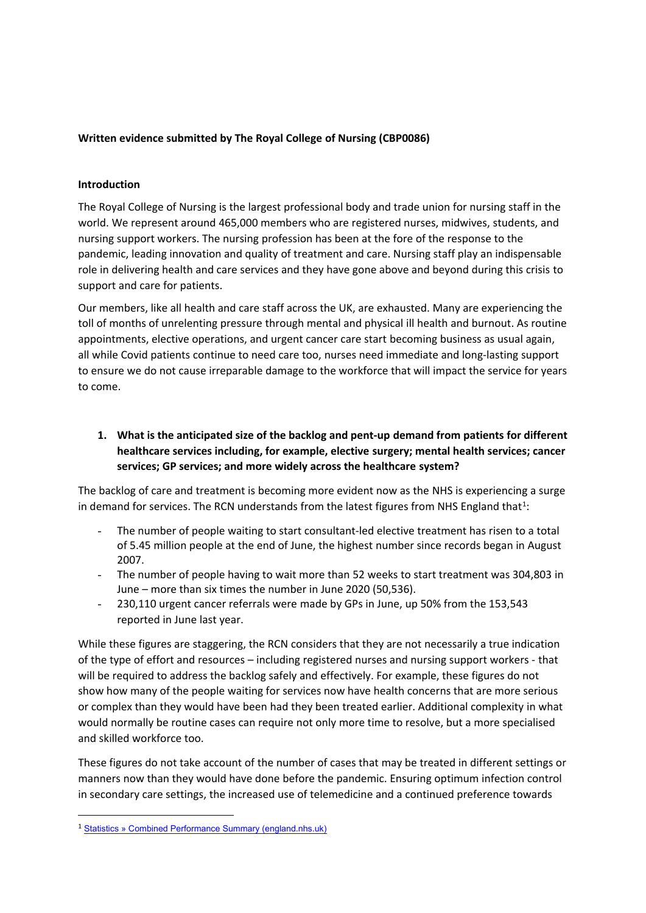### **Written evidence submitted by The Royal College of Nursing (CBP0086)**

#### **Introduction**

The Royal College of Nursing is the largest professional body and trade union for nursing staff in the world. We represent around 465,000 members who are registered nurses, midwives, students, and nursing support workers. The nursing profession has been at the fore of the response to the pandemic, leading innovation and quality of treatment and care. Nursing staff play an indispensable role in delivering health and care services and they have gone above and beyond during this crisis to support and care for patients.

Our members, like all health and care staff across the UK, are exhausted. Many are experiencing the toll of months of unrelenting pressure through mental and physical ill health and burnout. As routine appointments, elective operations, and urgent cancer care start becoming business as usual again, all while Covid patients continue to need care too, nurses need immediate and long-lasting support to ensure we do not cause irreparable damage to the workforce that will impact the service for years to come.

**1. What is the anticipated size of the backlog and pent-up demand from patients for different healthcare services including, for example, elective surgery; mental health services; cancer services; GP services; and more widely across the healthcare system?**

The backlog of care and treatment is becoming more evident now as the NHS is experiencing a surge in demand for services. The RCN understands from the latest figures from NHS England that<sup>1</sup>:

- The number of people waiting to start consultant-led elective treatment has risen to a total of 5.45 million people at the end of June, the highest number since records began in August 2007.
- The number of people having to wait more than 52 weeks to start treatment was 304,803 in June – more than six times the number in June 2020 (50,536).
- 230,110 urgent cancer referrals were made by GPs in June, up 50% from the 153,543 reported in June last year.

While these figures are staggering, the RCN considers that they are not necessarily a true indication of the type of effort and resources – including registered nurses and nursing support workers - that will be required to address the backlog safely and effectively. For example, these figures do not show how many of the people waiting for services now have health concerns that are more serious or complex than they would have been had they been treated earlier. Additional complexity in what would normally be routine cases can require not only more time to resolve, but a more specialised and skilled workforce too.

These figures do not take account of the number of cases that may be treated in different settings or manners now than they would have done before the pandemic. Ensuring optimum infection control in secondary care settings, the increased use of telemedicine and a continued preference towards

<sup>1</sup> [Statistics](https://www.england.nhs.uk/statistics/statistical-work-areas/combined-performance-summary/) [»](https://www.england.nhs.uk/statistics/statistical-work-areas/combined-performance-summary/) [Combined](https://www.england.nhs.uk/statistics/statistical-work-areas/combined-performance-summary/) [Performance](https://www.england.nhs.uk/statistics/statistical-work-areas/combined-performance-summary/) [Summary](https://www.england.nhs.uk/statistics/statistical-work-areas/combined-performance-summary/) [\(england.nhs.uk\)](https://www.england.nhs.uk/statistics/statistical-work-areas/combined-performance-summary/)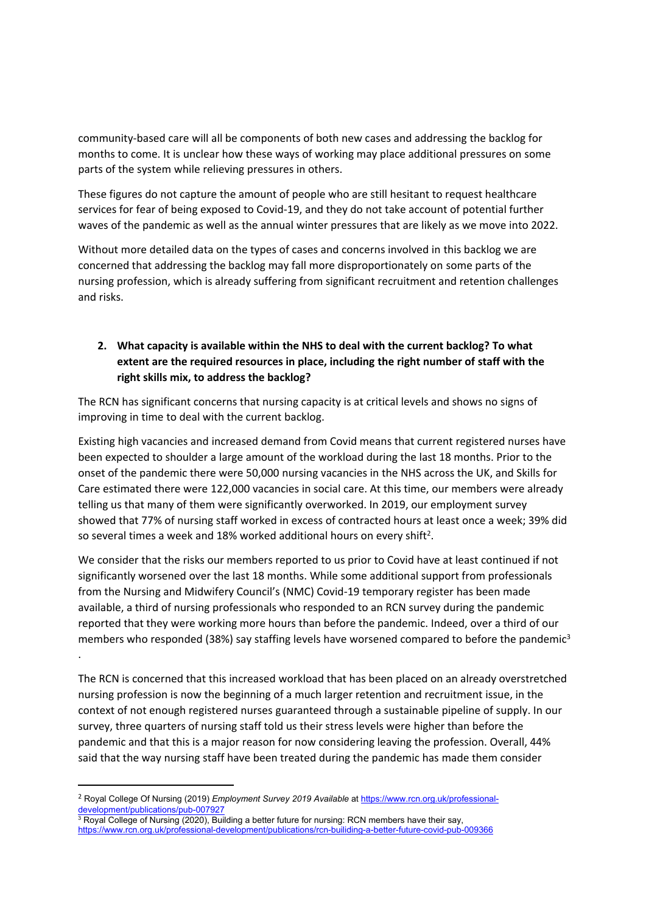community-based care will all be components of both new cases and addressing the backlog for months to come. It is unclear how these ways of working may place additional pressures on some parts of the system while relieving pressures in others.

These figures do not capture the amount of people who are still hesitant to request healthcare services for fear of being exposed to Covid-19, and they do not take account of potential further waves of the pandemic as well as the annual winter pressures that are likely as we move into 2022.

Without more detailed data on the types of cases and concerns involved in this backlog we are concerned that addressing the backlog may fall more disproportionately on some parts of the nursing profession, which is already suffering from significant recruitment and retention challenges and risks.

# **2. What capacity is available within the NHS to deal with the current backlog? To what extent are the required resources in place, including the right number of staff with the right skills mix, to address the backlog?**

The RCN has significant concerns that nursing capacity is at critical levels and shows no signs of improving in time to deal with the current backlog.

Existing high vacancies and increased demand from Covid means that current registered nurses have been expected to shoulder a large amount of the workload during the last 18 months. Prior to the onset of the pandemic there were 50,000 nursing vacancies in the NHS across the UK, and Skills for Care estimated there were 122,000 vacancies in social care. At this time, our members were already telling us that many of them were significantly overworked. In 2019, our employment survey showed that 77% of nursing staff worked in excess of contracted hours at least once a week; 39% did so several times a week and 18% worked additional hours on every shift<sup>2</sup>.

We consider that the risks our members reported to us prior to Covid have at least continued if not significantly worsened over the last 18 months. While some additional support from professionals from the Nursing and Midwifery Council's (NMC) Covid-19 temporary register has been made available, a third of nursing professionals who responded to an RCN survey during the pandemic reported that they were working more hours than before the pandemic. Indeed, over a third of our members who responded (38%) say staffing levels have worsened compared to before the pandemic<sup>3</sup> .

The RCN is concerned that this increased workload that has been placed on an already overstretched nursing profession is now the beginning of a much larger retention and recruitment issue, in the context of not enough registered nurses guaranteed through a sustainable pipeline of supply. In our survey, three quarters of nursing staff told us their stress levels were higher than before the pandemic and that this is a major reason for now considering leaving the profession. Overall, 44% said that the way nursing staff have been treated during the pandemic has made them consider

<sup>2</sup> Royal College Of Nursing (2019) *Employment Survey 2019 Available* at [https://www.rcn.org.uk/professional](https://www.rcn.org.uk/professional-development/publications/pub-007927)[development/publications/pub-007927](https://www.rcn.org.uk/professional-development/publications/pub-007927)

<sup>3</sup> Royal College of Nursing (2020), Building a better future for nursing: RCN members have their say, <https://www.rcn.org.uk/professional-development/publications/rcn-builiding-a-better-future-covid-pub-009366>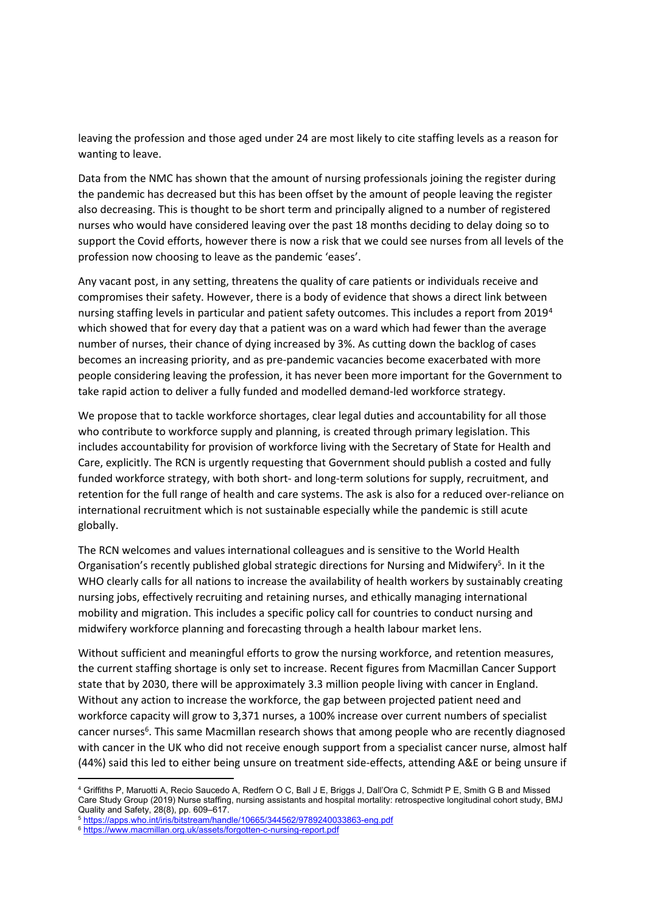leaving the profession and those aged under 24 are most likely to cite staffing levels as a reason for wanting to leave.

Data from the NMC has shown that the amount of nursing professionals joining the register during the pandemic has decreased but this has been offset by the amount of people leaving the register also decreasing. This is thought to be short term and principally aligned to a number of registered nurses who would have considered leaving over the past 18 months deciding to delay doing so to support the Covid efforts, however there is now a risk that we could see nurses from all levels of the profession now choosing to leave as the pandemic 'eases'.

Any vacant post, in any setting, threatens the quality of care patients or individuals receive and compromises their safety. However, there is a body of evidence that shows a direct link between nursing staffing levels in particular and patient safety outcomes. This includes a report from 2019<sup>4</sup> which showed that for every day that a patient was on a ward which had fewer than the average number of nurses, their chance of dying increased by 3%. As cutting down the backlog of cases becomes an increasing priority, and as pre-pandemic vacancies become exacerbated with more people considering leaving the profession, it has never been more important for the Government to take rapid action to deliver a fully funded and modelled demand-led workforce strategy.

We propose that to tackle workforce shortages, clear legal duties and accountability for all those who contribute to workforce supply and planning, is created through primary legislation. This includes accountability for provision of workforce living with the Secretary of State for Health and Care, explicitly. The RCN is urgently requesting that Government should publish a costed and fully funded workforce strategy, with both short- and long-term solutions for supply, recruitment, and retention for the full range of health and care systems. The ask is also for a reduced over-reliance on international recruitment which is not sustainable especially while the pandemic is still acute globally.

The RCN welcomes and values international colleagues and is sensitive to the World Health Organisation's recently published global strategic directions for Nursing and Midwifery<sup>5</sup>. In it the WHO clearly calls for all nations to increase the availability of health workers by sustainably creating nursing jobs, effectively recruiting and retaining nurses, and ethically managing international mobility and migration. This includes a specific policy call for countries to conduct nursing and midwifery workforce planning and forecasting through a health labour market lens.

Without sufficient and meaningful efforts to grow the nursing workforce, and retention measures, the current staffing shortage is only set to increase. Recent figures from Macmillan Cancer Support state that by 2030, there will be approximately 3.3 million people living with cancer in England. Without any action to increase the workforce, the gap between projected patient need and workforce capacity will grow to 3,371 nurses, a 100% increase over current numbers of specialist cancer nurses<sup>6</sup>. This same Macmillan research shows that among people who are recently diagnosed with cancer in the UK who did not receive enough support from a specialist cancer nurse, almost half (44%) said this led to either being unsure on treatment side-effects, attending A&E or being unsure if

<sup>5</sup> <https://apps.who.int/iris/bitstream/handle/10665/344562/9789240033863-eng.pdf>

<sup>4</sup> Griffiths P, Maruotti A, Recio Saucedo A, Redfern O C, Ball J E, Briggs J, Dall'Ora C, Schmidt P E, Smith G B and Missed Care Study Group (2019) Nurse staffing, nursing assistants and hospital mortality: retrospective longitudinal cohort study, BMJ Quality and Safety, 28(8), pp. 609–617.

<sup>6</sup> <https://www.macmillan.org.uk/assets/forgotten-c-nursing-report.pdf>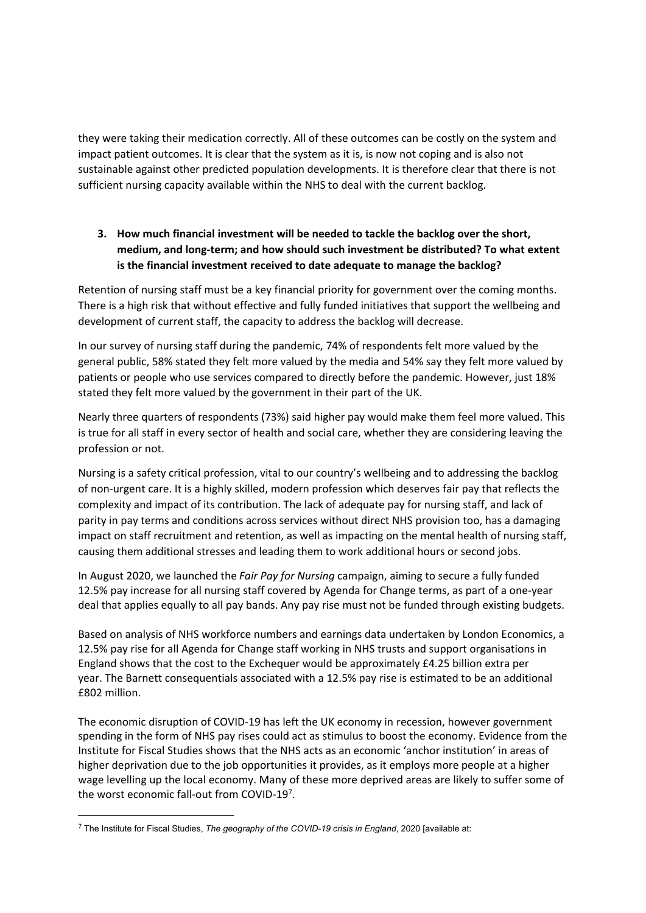they were taking their medication correctly. All of these outcomes can be costly on the system and impact patient outcomes. It is clear that the system as it is, is now not coping and is also not sustainable against other predicted population developments. It is therefore clear that there is not sufficient nursing capacity available within the NHS to deal with the current backlog.

# **3. How much financial investment will be needed to tackle the backlog over the short, medium, and long-term; and how should such investment be distributed? To what extent is the financial investment received to date adequate to manage the backlog?**

Retention of nursing staff must be a key financial priority for government over the coming months. There is a high risk that without effective and fully funded initiatives that support the wellbeing and development of current staff, the capacity to address the backlog will decrease.

In our survey of nursing staff during the pandemic, 74% of respondents felt more valued by the general public, 58% stated they felt more valued by the media and 54% say they felt more valued by patients or people who use services compared to directly before the pandemic. However, just 18% stated they felt more valued by the government in their part of the UK.

Nearly three quarters of respondents (73%) said higher pay would make them feel more valued. This is true for all staff in every sector of health and social care, whether they are considering leaving the profession or not.

Nursing is a safety critical profession, vital to our country's wellbeing and to addressing the backlog of non-urgent care. It is a highly skilled, modern profession which deserves fair pay that reflects the complexity and impact of its contribution. The lack of adequate pay for nursing staff, and lack of parity in pay terms and conditions across services without direct NHS provision too, has a damaging impact on staff recruitment and retention, as well as impacting on the mental health of nursing staff, causing them additional stresses and leading them to work additional hours or second jobs.

In August 2020, we launched the *Fair Pay for Nursing* campaign, aiming to secure a fully funded 12.5% pay increase for all nursing staff covered by Agenda for Change terms, as part of a one-year deal that applies equally to all pay bands. Any pay rise must not be funded through existing budgets.

Based on analysis of NHS workforce numbers and earnings data undertaken by London Economics, a 12.5% pay rise for all Agenda for Change staff working in NHS trusts and support organisations in England shows that the cost to the Exchequer would be approximately £4.25 billion extra per year. The Barnett consequentials associated with a 12.5% pay rise is estimated to be an additional £802 million.

The economic disruption of COVID-19 has left the UK economy in recession, however government spending in the form of NHS pay rises could act as stimulus to boost the economy. Evidence from the Institute for Fiscal Studies shows that the NHS acts as an economic 'anchor institution' in areas of higher deprivation due to the job opportunities it provides, as it employs more people at a higher wage levelling up the local economy. Many of these more deprived areas are likely to suffer some of the worst economic fall-out from COVID-197.

<sup>7</sup> The Institute for Fiscal Studies, *The geography of the COVID-19 crisis in England*, 2020 [available at: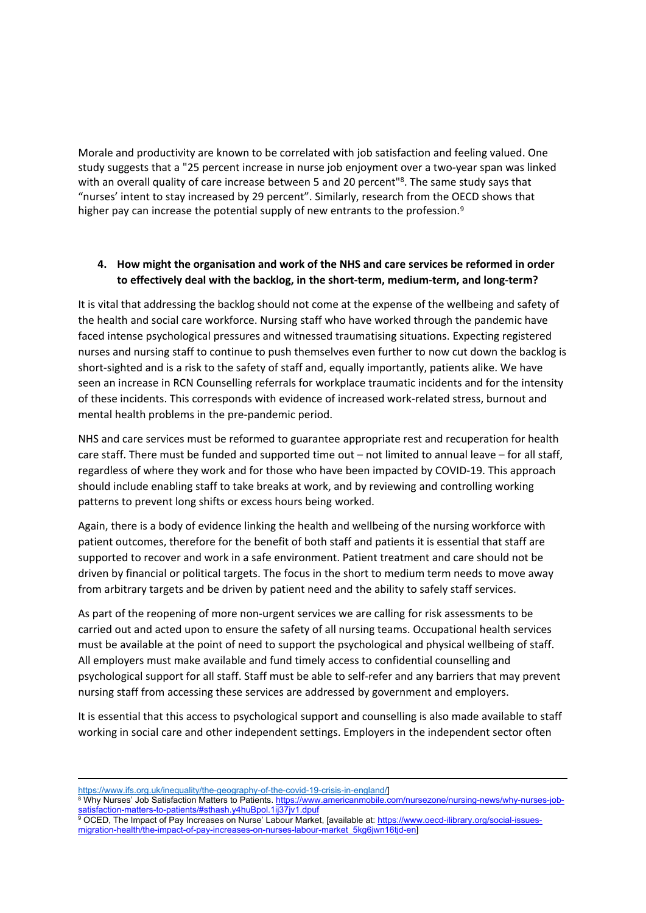Morale and productivity are known to be correlated with job satisfaction and feeling valued. One study suggests that a "25 percent increase in nurse job enjoyment over a two-year span was linked with an overall quality of care increase between 5 and 20 percent"<sup>8</sup>. The same study says that "nurses' intent to stay increased by 29 percent". Similarly, research from the OECD shows that higher pay can increase the potential supply of new entrants to the profession.<sup>9</sup>

### **4. How might the organisation and work of the NHS and care services be reformed in order to effectively deal with the backlog, in the short-term, medium-term, and long-term?**

It is vital that addressing the backlog should not come at the expense of the wellbeing and safety of the health and social care workforce. Nursing staff who have worked through the pandemic have faced intense psychological pressures and witnessed traumatising situations. Expecting registered nurses and nursing staff to continue to push themselves even further to now cut down the backlog is short-sighted and is a risk to the safety of staff and, equally importantly, patients alike. We have seen an increase in RCN Counselling referrals for workplace traumatic incidents and for the intensity of these incidents. This corresponds with evidence of increased work-related stress, burnout and mental health problems in the pre-pandemic period.

NHS and care services must be reformed to guarantee appropriate rest and recuperation for health care staff. There must be funded and supported time out – not limited to annual leave – for all staff, regardless of where they work and for those who have been impacted by COVID-19. This approach should include enabling staff to take breaks at work, and by reviewing and controlling working patterns to prevent long shifts or excess hours being worked.

Again, there is a body of evidence linking the health and wellbeing of the nursing workforce with patient outcomes, therefore for the benefit of both staff and patients it is essential that staff are supported to recover and work in a safe environment. Patient treatment and care should not be driven by financial or political targets. The focus in the short to medium term needs to move away from arbitrary targets and be driven by patient need and the ability to safely staff services.

As part of the reopening of more non-urgent services we are calling for risk assessments to be carried out and acted upon to ensure the safety of all nursing teams. Occupational health services must be available at the point of need to support the psychological and physical wellbeing of staff. All employers must make available and fund timely access to confidential counselling and psychological support for all staff. Staff must be able to self-refer and any barriers that may prevent nursing staff from accessing these services are addressed by government and employers.

It is essential that this access to psychological support and counselling is also made available to staff working in social care and other independent settings. Employers in the independent sector often

[https://www.ifs.org.uk/inequality/the-geography-of-the-covid-19-crisis-in-england/\]](https://www.ifs.org.uk/inequality/the-geography-of-the-covid-19-crisis-in-england/)

<sup>8</sup> Why Nurses' Job Satisfaction Matters to Patients. [https://www.americanmobile.com/nursezone/nursing-news/why-nurses-job](https://www.americanmobile.com/nursezone/nursing-news/why-nurses-job-satisfaction-matters-to-patients/#sthash.y4huBpol.1ij37jv1.dpuf)[satisfaction-matters-to-patients/#sthash.y4huBpol.1ij37jv1.dpuf](https://www.americanmobile.com/nursezone/nursing-news/why-nurses-job-satisfaction-matters-to-patients/#sthash.y4huBpol.1ij37jv1.dpuf)

<sup>9</sup> OCED, The Impact of Pay Increases on Nurse' Labour Market, [available at: [https://www.oecd-ilibrary.org/social-issues](https://www.oecd-ilibrary.org/social-issues-migration-health/the-impact-of-pay-increases-on-nurses-labour-market_5kg6jwn16tjd-en)[migration-health/the-impact-of-pay-increases-on-nurses-labour-market\\_5kg6jwn16tjd-en\]](https://www.oecd-ilibrary.org/social-issues-migration-health/the-impact-of-pay-increases-on-nurses-labour-market_5kg6jwn16tjd-en)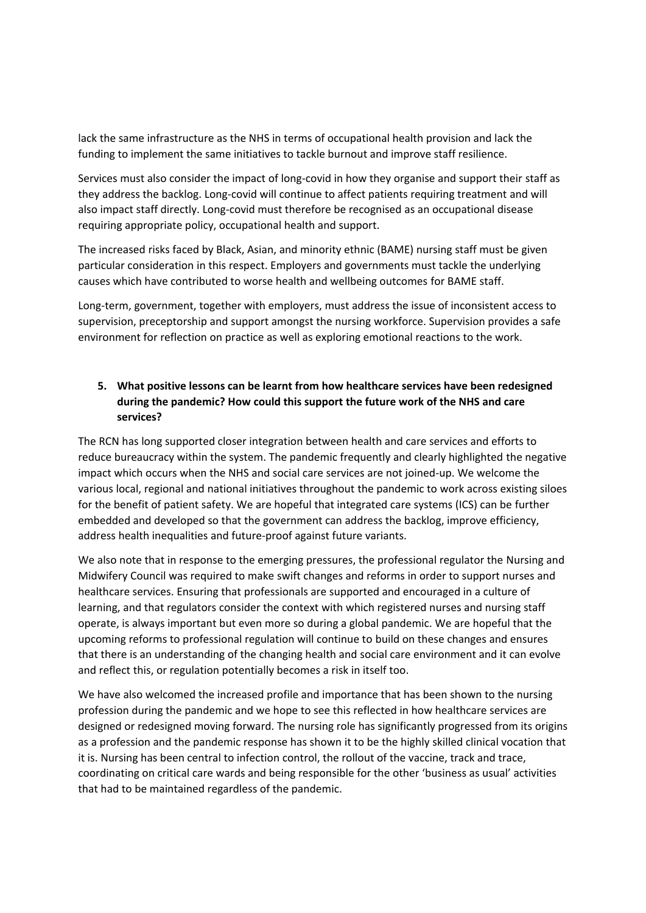lack the same infrastructure as the NHS in terms of occupational health provision and lack the funding to implement the same initiatives to tackle burnout and improve staff resilience.

Services must also consider the impact of long-covid in how they organise and support their staff as they address the backlog. Long-covid will continue to affect patients requiring treatment and will also impact staff directly. Long-covid must therefore be recognised as an occupational disease requiring appropriate policy, occupational health and support.

The increased risks faced by Black, Asian, and minority ethnic (BAME) nursing staff must be given particular consideration in this respect. Employers and governments must tackle the underlying causes which have contributed to worse health and wellbeing outcomes for BAME staff.

Long-term, government, together with employers, must address the issue of inconsistent access to supervision, preceptorship and support amongst the nursing workforce. Supervision provides a safe environment for reflection on practice as well as exploring emotional reactions to the work.

# **5. What positive lessons can be learnt from how healthcare services have been redesigned during the pandemic? How could this support the future work of the NHS and care services?**

The RCN has long supported closer integration between health and care services and efforts to reduce bureaucracy within the system. The pandemic frequently and clearly highlighted the negative impact which occurs when the NHS and social care services are not joined-up. We welcome the various local, regional and national initiatives throughout the pandemic to work across existing siloes for the benefit of patient safety. We are hopeful that integrated care systems (ICS) can be further embedded and developed so that the government can address the backlog, improve efficiency, address health inequalities and future-proof against future variants.

We also note that in response to the emerging pressures, the professional regulator the Nursing and Midwifery Council was required to make swift changes and reforms in order to support nurses and healthcare services. Ensuring that professionals are supported and encouraged in a culture of learning, and that regulators consider the context with which registered nurses and nursing staff operate, is always important but even more so during a global pandemic. We are hopeful that the upcoming reforms to professional regulation will continue to build on these changes and ensures that there is an understanding of the changing health and social care environment and it can evolve and reflect this, or regulation potentially becomes a risk in itself too.

We have also welcomed the increased profile and importance that has been shown to the nursing profession during the pandemic and we hope to see this reflected in how healthcare services are designed or redesigned moving forward. The nursing role has significantly progressed from its origins as a profession and the pandemic response has shown it to be the highly skilled clinical vocation that it is. Nursing has been central to infection control, the rollout of the vaccine, track and trace, coordinating on critical care wards and being responsible for the other 'business as usual' activities that had to be maintained regardless of the pandemic.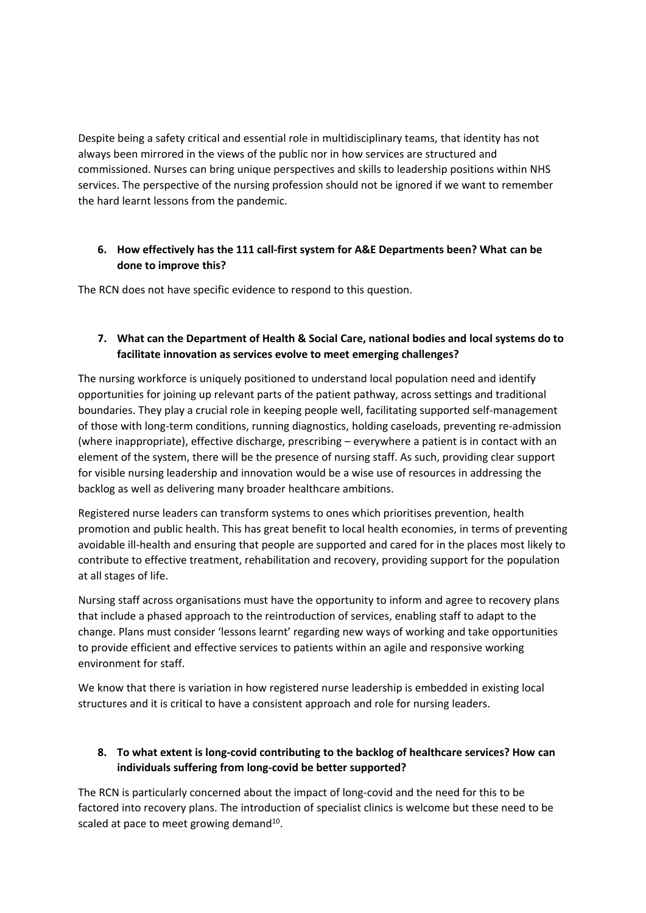Despite being a safety critical and essential role in multidisciplinary teams, that identity has not always been mirrored in the views of the public nor in how services are structured and commissioned. Nurses can bring unique perspectives and skills to leadership positions within NHS services. The perspective of the nursing profession should not be ignored if we want to remember the hard learnt lessons from the pandemic.

### **6. How effectively has the 111 call-first system for A&E Departments been? What can be done to improve this?**

The RCN does not have specific evidence to respond to this question.

# **7. What can the Department of Health & Social Care, national bodies and local systems do to facilitate innovation as services evolve to meet emerging challenges?**

The nursing workforce is uniquely positioned to understand local population need and identify opportunities for joining up relevant parts of the patient pathway, across settings and traditional boundaries. They play a crucial role in keeping people well, facilitating supported self-management of those with long-term conditions, running diagnostics, holding caseloads, preventing re-admission (where inappropriate), effective discharge, prescribing – everywhere a patient is in contact with an element of the system, there will be the presence of nursing staff. As such, providing clear support for visible nursing leadership and innovation would be a wise use of resources in addressing the backlog as well as delivering many broader healthcare ambitions.

Registered nurse leaders can transform systems to ones which prioritises prevention, health promotion and public health. This has great benefit to local health economies, in terms of preventing avoidable ill-health and ensuring that people are supported and cared for in the places most likely to contribute to effective treatment, rehabilitation and recovery, providing support for the population at all stages of life.

Nursing staff across organisations must have the opportunity to inform and agree to recovery plans that include a phased approach to the reintroduction of services, enabling staff to adapt to the change. Plans must consider 'lessons learnt' regarding new ways of working and take opportunities to provide efficient and effective services to patients within an agile and responsive working environment for staff.

We know that there is variation in how registered nurse leadership is embedded in existing local structures and it is critical to have a consistent approach and role for nursing leaders.

### **8. To what extent is long-covid contributing to the backlog of healthcare services? How can individuals suffering from long-covid be better supported?**

The RCN is particularly concerned about the impact of long-covid and the need for this to be factored into recovery plans. The introduction of specialist clinics is welcome but these need to be scaled at pace to meet growing demand<sup>10</sup>.